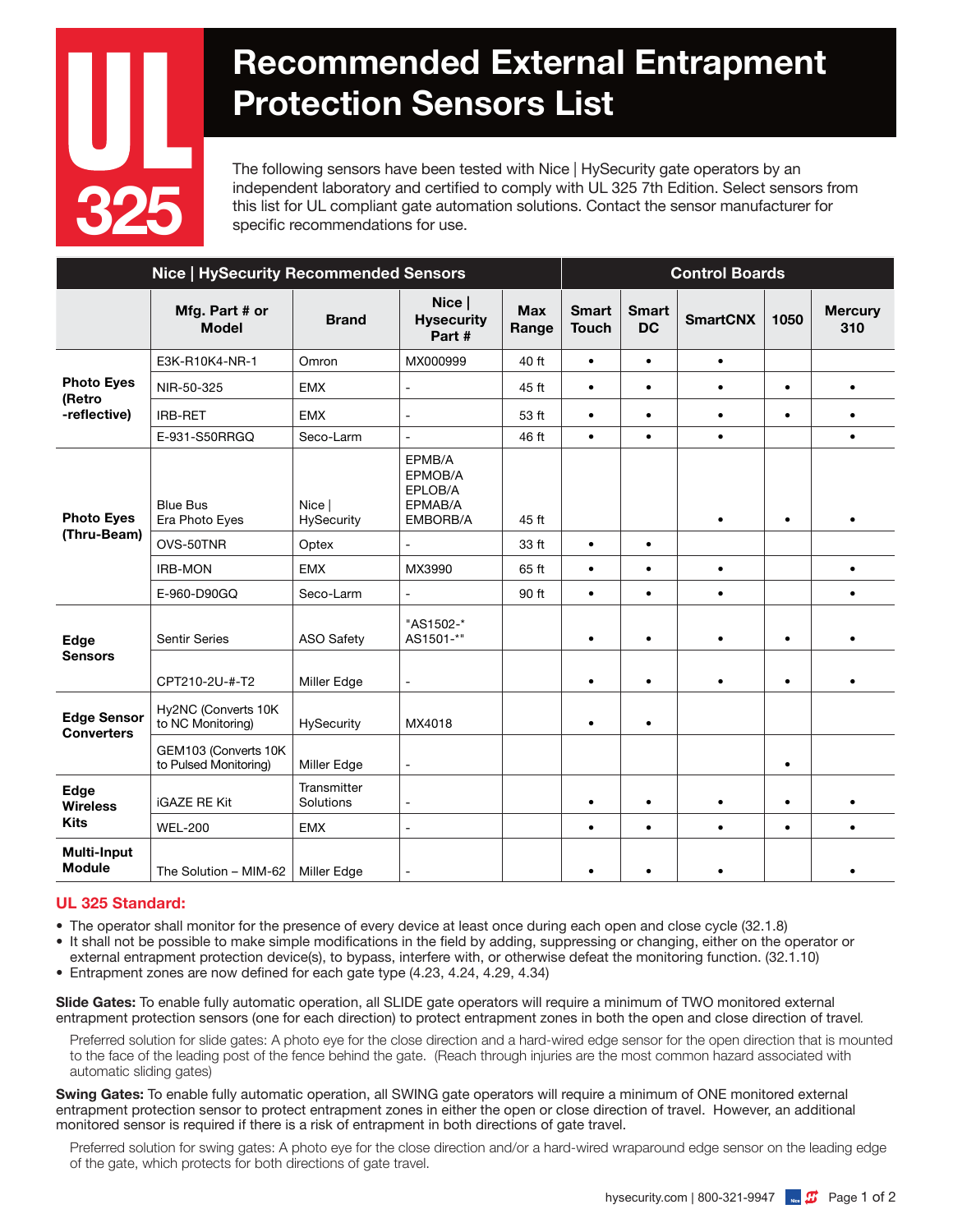

## Recommended External Entrapment Protection Sensors List

The following sensors have been tested with Nice | HySecurity gate operators by an independent laboratory and certified to comply with UL 325 7th Edition. Select sensors from this list for UL compliant gate automation solutions. Contact the sensor manufacturer for specific recommendations for use.

| <b>Nice   HySecurity Recommended Sensors</b> |                                               |                          |                                                     |                     | <b>Control Boards</b>        |                           |                 |           |                       |
|----------------------------------------------|-----------------------------------------------|--------------------------|-----------------------------------------------------|---------------------|------------------------------|---------------------------|-----------------|-----------|-----------------------|
|                                              | Mfg. Part # or<br><b>Model</b>                | <b>Brand</b>             | Nice  <br><b>Hysecurity</b><br>Part #               | <b>Max</b><br>Range | <b>Smart</b><br><b>Touch</b> | <b>Smart</b><br><b>DC</b> | <b>SmartCNX</b> | 1050      | <b>Mercury</b><br>310 |
| <b>Photo Eyes</b><br>(Retro<br>-reflective)  | E3K-R10K4-NR-1                                | Omron                    | MX000999                                            | 40 ft               | $\bullet$                    | $\bullet$                 | $\bullet$       |           |                       |
|                                              | NIR-50-325                                    | <b>EMX</b>               | $\overline{\phantom{a}}$                            | 45 ft               | $\bullet$                    | $\bullet$                 | $\bullet$       | $\bullet$ | $\bullet$             |
|                                              | <b>IRB-RET</b>                                | <b>EMX</b>               | $\blacksquare$                                      | 53 ft               | $\bullet$                    | $\bullet$                 | $\bullet$       | $\bullet$ | $\bullet$             |
|                                              | E-931-S50RRGQ                                 | Seco-Larm                | $\blacksquare$                                      | 46 ft               | $\bullet$                    | $\bullet$                 | $\bullet$       |           | $\bullet$             |
| <b>Photo Eyes</b><br>(Thru-Beam)             | <b>Blue Bus</b><br>Era Photo Eyes             | Nice I<br>HySecurity     | EPMB/A<br>EPMOB/A<br>EPLOB/A<br>EPMAB/A<br>EMBORB/A | 45 ft               |                              |                           | $\bullet$       | $\bullet$ |                       |
|                                              | OVS-50TNR                                     | Optex                    | $\blacksquare$                                      | 33 ft               | $\bullet$                    | $\bullet$                 |                 |           |                       |
|                                              | <b>IRB-MON</b>                                | <b>EMX</b>               | MX3990                                              | 65 ft               | $\bullet$                    | $\bullet$                 | $\bullet$       |           | $\bullet$             |
|                                              | E-960-D90GQ                                   | Seco-Larm                | $\blacksquare$                                      | 90 ft               | $\bullet$                    | $\bullet$                 | $\bullet$       |           | $\bullet$             |
| Edge<br><b>Sensors</b>                       | <b>Sentir Series</b>                          | ASO Safety               | "AS1502-*<br>AS1501-*"                              |                     | ٠                            | $\bullet$                 | $\bullet$       | $\bullet$ | $\bullet$             |
|                                              | CPT210-2U-#-T2                                | Miller Edge              | $\overline{a}$                                      |                     | $\bullet$                    | $\bullet$                 | $\bullet$       | $\bullet$ | $\bullet$             |
| <b>Edge Sensor</b><br><b>Converters</b>      | Hy2NC (Converts 10K<br>to NC Monitoring)      | HySecurity               | MX4018                                              |                     | $\bullet$                    | $\bullet$                 |                 |           |                       |
|                                              | GEM103 (Converts 10K<br>to Pulsed Monitoring) | Miller Edge              | $\blacksquare$                                      |                     |                              |                           |                 | $\bullet$ |                       |
| Edge<br><b>Wireless</b><br><b>Kits</b>       | <b>iGAZE RE Kit</b>                           | Transmitter<br>Solutions | $\overline{\phantom{a}}$                            |                     | $\bullet$                    | $\bullet$                 | $\bullet$       | $\bullet$ |                       |
|                                              | <b>WEL-200</b>                                | <b>EMX</b>               | $\overline{\phantom{a}}$                            |                     | $\bullet$                    | $\bullet$                 | $\bullet$       | $\bullet$ | $\bullet$             |
| Multi-Input<br><b>Module</b>                 | The Solution - MIM-62                         | Miller Edge              | $\blacksquare$                                      |                     |                              | $\bullet$                 | $\bullet$       |           |                       |

## UL 325 Standard:

- The operator shall monitor for the presence of every device at least once during each open and close cycle (32.1.8)
- It shall not be possible to make simple modifications in the field by adding, suppressing or changing, either on the operator or external entrapment protection device(s), to bypass, interfere with, or otherwise defeat the monitoring function. (32.1.10)
- Entrapment zones are now defined for each gate type (4.23, 4.24, 4.29, 4.34)

Slide Gates: To enable fully automatic operation, all SLIDE gate operators will require a minimum of TWO monitored external entrapment protection sensors (one for each direction) to protect entrapment zones in both the open and close direction of travel*.*

Preferred solution for slide gates: A photo eye for the close direction and a hard-wired edge sensor for the open direction that is mounted to the face of the leading post of the fence behind the gate. (Reach through injuries are the most common hazard associated with automatic sliding gates)

Swing Gates: To enable fully automatic operation, all SWING gate operators will require a minimum of ONE monitored external entrapment protection sensor to protect entrapment zones in either the open or close direction of travel. However, an additional monitored sensor is required if there is a risk of entrapment in both directions of gate travel.

Preferred solution for swing gates: A photo eye for the close direction and/or a hard-wired wraparound edge sensor on the leading edge of the gate, which protects for both directions of gate travel.